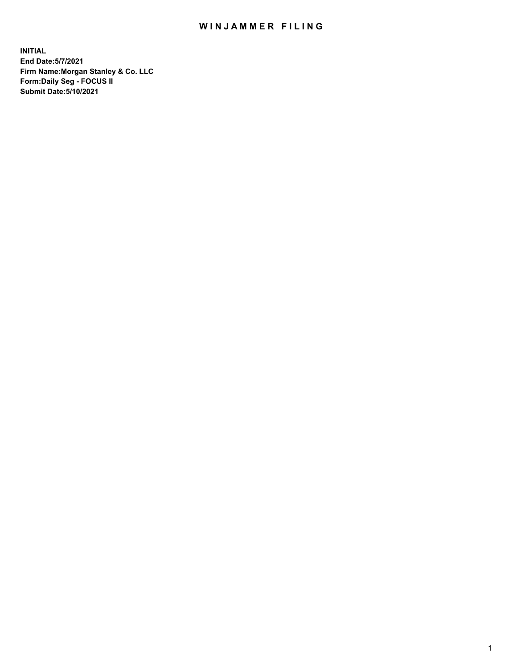## WIN JAMMER FILING

**INITIAL End Date:5/7/2021 Firm Name:Morgan Stanley & Co. LLC Form:Daily Seg - FOCUS II Submit Date:5/10/2021**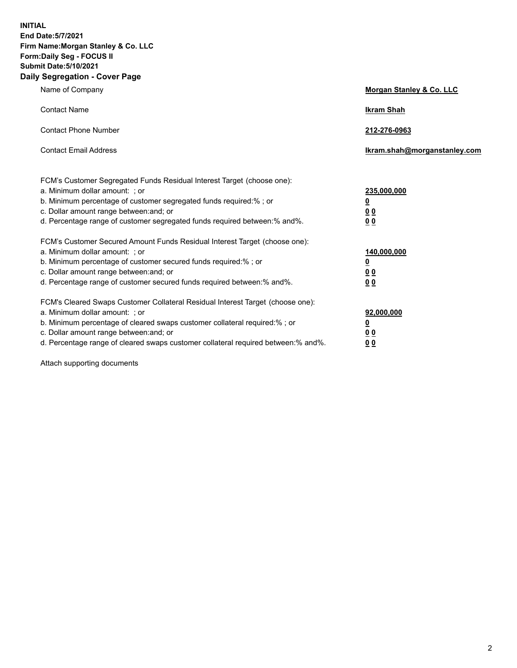**INITIAL End Date:5/7/2021 Firm Name:Morgan Stanley & Co. LLC Form:Daily Seg - FOCUS II Submit Date:5/10/2021 Daily Segregation - Cover Page**

| Name of Company                                                                                                                                                                                                                                                                                                               | Morgan Stanley & Co. LLC                        |
|-------------------------------------------------------------------------------------------------------------------------------------------------------------------------------------------------------------------------------------------------------------------------------------------------------------------------------|-------------------------------------------------|
| <b>Contact Name</b>                                                                                                                                                                                                                                                                                                           | <b>Ikram Shah</b>                               |
| <b>Contact Phone Number</b>                                                                                                                                                                                                                                                                                                   | 212-276-0963                                    |
| <b>Contact Email Address</b>                                                                                                                                                                                                                                                                                                  | Ikram.shah@morganstanley.com                    |
| FCM's Customer Segregated Funds Residual Interest Target (choose one):<br>a. Minimum dollar amount: ; or<br>b. Minimum percentage of customer segregated funds required:% ; or<br>c. Dollar amount range between: and; or<br>d. Percentage range of customer segregated funds required between:% and%.                        | 235,000,000<br><u>0</u><br>0 Q<br>0 Q           |
| FCM's Customer Secured Amount Funds Residual Interest Target (choose one):<br>a. Minimum dollar amount: ; or<br>b. Minimum percentage of customer secured funds required:%; or<br>c. Dollar amount range between: and; or<br>d. Percentage range of customer secured funds required between: % and %.                         | 140,000,000<br><u>0</u><br><u>0 0</u><br>0 Q    |
| FCM's Cleared Swaps Customer Collateral Residual Interest Target (choose one):<br>a. Minimum dollar amount: ; or<br>b. Minimum percentage of cleared swaps customer collateral required:%; or<br>c. Dollar amount range between: and; or<br>d. Percentage range of cleared swaps customer collateral required between:% and%. | 92,000,000<br><u>0</u><br>0 Q<br>0 <sub>0</sub> |

Attach supporting documents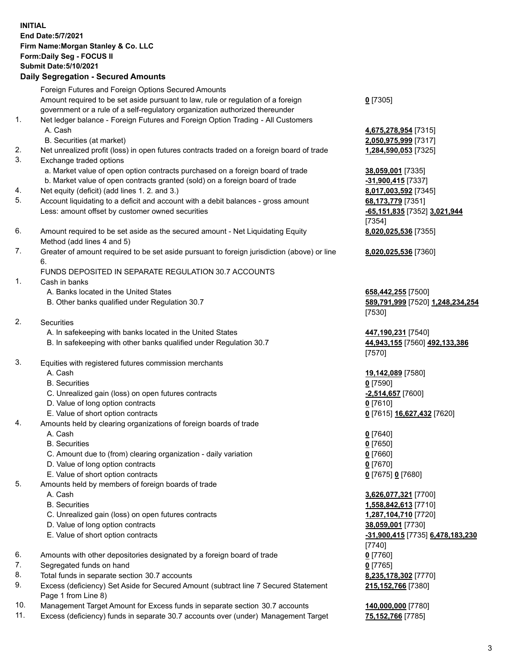## **INITIAL End Date:5/7/2021 Firm Name:Morgan Stanley & Co. LLC Form:Daily Seg - FOCUS II Submit Date:5/10/2021**

**Daily Segregation - Secured Amounts** Foreign Futures and Foreign Options Secured Amounts Amount required to be set aside pursuant to law, rule or regulation of a foreign government or a rule of a self-regulatory organization authorized thereunder 1. Net ledger balance - Foreign Futures and Foreign Option Trading - All Customers A. Cash **4,675,278,954** [7315] B. Securities (at market) **2,050,975,999** [7317] 2. Net unrealized profit (loss) in open futures contracts traded on a foreign board of trade **1,284,590,053** [7325] 3. Exchange traded options a. Market value of open option contracts purchased on a foreign board of trade **38,059,001** [7335] b. Market value of open contracts granted (sold) on a foreign board of trade **-31,900,415** [7337] 4. Net equity (deficit) (add lines 1. 2. and 3.) **8,017,003,592** [7345] 5. Account liquidating to a deficit and account with a debit balances - gross amount **68,173,779** [7351] Less: amount offset by customer owned securities **-65,151,835** [7352] **3,021,944** 6. Amount required to be set aside as the secured amount - Net Liquidating Equity Method (add lines 4 and 5) 7. Greater of amount required to be set aside pursuant to foreign jurisdiction (above) or line 6. FUNDS DEPOSITED IN SEPARATE REGULATION 30.7 ACCOUNTS 1. Cash in banks A. Banks located in the United States **658,442,255** [7500] B. Other banks qualified under Regulation 30.7 **589,791,999** [7520] **1,248,234,254** 2. Securities A. In safekeeping with banks located in the United States **447,190,231** [7540] B. In safekeeping with other banks qualified under Regulation 30.7 **44,943,155** [7560] **492,133,386** 3. Equities with registered futures commission merchants A. Cash **19,142,089** [7580] B. Securities **0** [7590] C. Unrealized gain (loss) on open futures contracts **-2,514,657** [7600] D. Value of long option contracts **0** [7610] E. Value of short option contracts **0** [7615] **16,627,432** [7620] 4. Amounts held by clearing organizations of foreign boards of trade A. Cash **0** [7640] B. Securities **0** [7650] C. Amount due to (from) clearing organization - daily variation **0** [7660] D. Value of long option contracts **0** [7670] E. Value of short option contracts **0** [7675] **0** [7680] 5. Amounts held by members of foreign boards of trade A. Cash **3,626,077,321** [7700] B. Securities **1,558,842,613** [7710] C. Unrealized gain (loss) on open futures contracts **1,287,104,710** [7720] D. Value of long option contracts **38,059,001** [7730]

- 
- 6. Amounts with other depositories designated by a foreign board of trade **0** [7760]
- 7. Segregated funds on hand **0** [7765]
- 8. Total funds in separate section 30.7 accounts **8,235,178,302** [7770]
- 9. Excess (deficiency) Set Aside for Secured Amount (subtract line 7 Secured Statement Page 1 from Line 8)
- 10. Management Target Amount for Excess funds in separate section 30.7 accounts **140,000,000** [7780]
- 11. Excess (deficiency) funds in separate 30.7 accounts over (under) Management Target **75,152,766** [7785]

[7354] **8,020,025,536** [7355]

**0** [7305]

**8,020,025,536** [7360]

[7530]

[7570]

 E. Value of short option contracts **-31,900,415** [7735] **6,478,183,230** [7740] **215,152,766** [7380]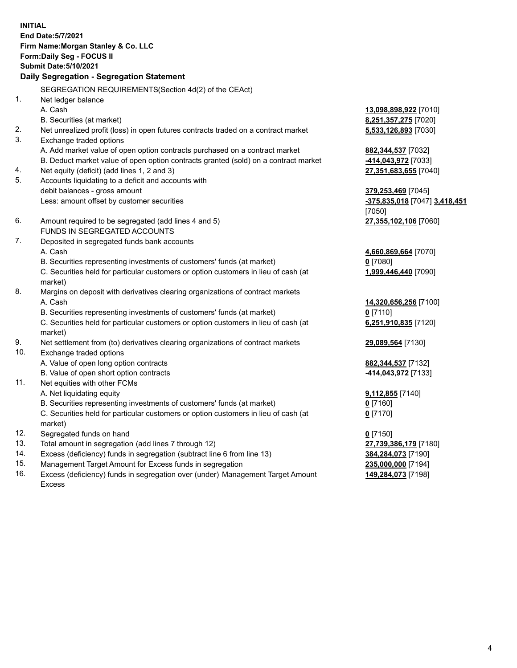**INITIAL End Date:5/7/2021 Firm Name:Morgan Stanley & Co. LLC Form:Daily Seg - FOCUS II Submit Date:5/10/2021 Daily Segregation - Segregation Statement** SEGREGATION REQUIREMENTS(Section 4d(2) of the CEAct) 1. Net ledger balance A. Cash **13,098,898,922** [7010] B. Securities (at market) **8,251,357,275** [7020] 2. Net unrealized profit (loss) in open futures contracts traded on a contract market **5,533,126,893** [7030] 3. Exchange traded options A. Add market value of open option contracts purchased on a contract market **882,344,537** [7032] B. Deduct market value of open option contracts granted (sold) on a contract market **-414,043,972** [7033] 4. Net equity (deficit) (add lines 1, 2 and 3) **27,351,683,655** [7040] 5. Accounts liquidating to a deficit and accounts with debit balances - gross amount **379,253,469** [7045] Less: amount offset by customer securities **-375,835,018** [7047] **3,418,451** [7050] 6. Amount required to be segregated (add lines 4 and 5) **27,355,102,106** [7060] FUNDS IN SEGREGATED ACCOUNTS 7. Deposited in segregated funds bank accounts A. Cash **4,660,869,664** [7070] B. Securities representing investments of customers' funds (at market) **0** [7080] C. Securities held for particular customers or option customers in lieu of cash (at market) **1,999,446,440** [7090] 8. Margins on deposit with derivatives clearing organizations of contract markets A. Cash **14,320,656,256** [7100] B. Securities representing investments of customers' funds (at market) **0** [7110] C. Securities held for particular customers or option customers in lieu of cash (at market) **6,251,910,835** [7120] 9. Net settlement from (to) derivatives clearing organizations of contract markets **29,089,564** [7130] 10. Exchange traded options A. Value of open long option contracts **882,344,537** [7132] B. Value of open short option contracts **-414,043,972** [7133] 11. Net equities with other FCMs A. Net liquidating equity **9,112,855** [7140] B. Securities representing investments of customers' funds (at market) **0** [7160] C. Securities held for particular customers or option customers in lieu of cash (at market) **0** [7170] 12. Segregated funds on hand **0** [7150] 13. Total amount in segregation (add lines 7 through 12) **27,739,386,179** [7180] 14. Excess (deficiency) funds in segregation (subtract line 6 from line 13) **384,284,073** [7190] 15. Management Target Amount for Excess funds in segregation **235,000,000** [7194]

16. Excess (deficiency) funds in segregation over (under) Management Target Amount Excess

**149,284,073** [7198]